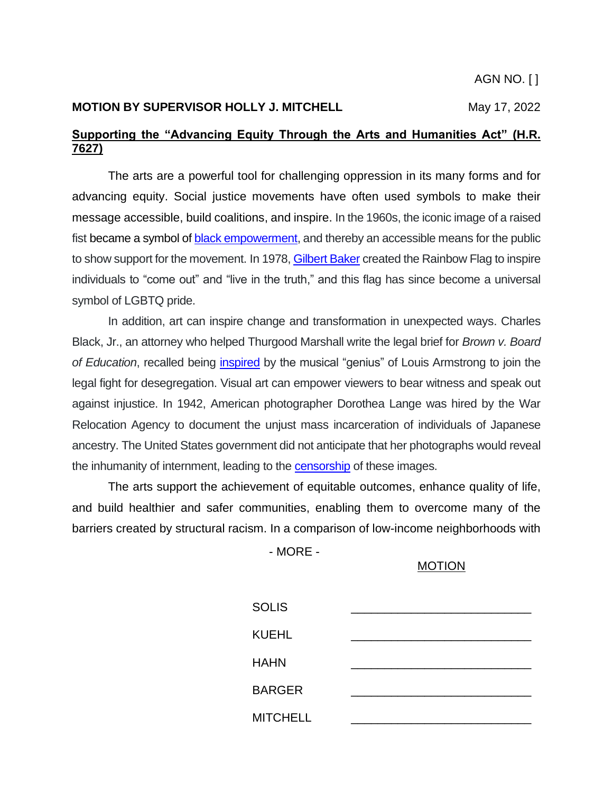#### **MOTION BY SUPERVISOR HOLLY J. MITCHELL** May 17, 2022

## **Supporting the "Advancing Equity Through the Arts and Humanities Act" (H.R. 7627)**

The arts are a powerful tool for challenging oppression in its many forms and for advancing equity. Social justice movements have often used symbols to make their message accessible, build coalitions, and inspire. In the 1960s, the iconic image of a raised fist became a symbol of [black empowerment,](https://www.rd.com/article/history-behind-the-clenched-first-and-the-symbol-for-black-power/) and thereby an accessible means for the public to show support for the movement. In 1978, [Gilbert Baker](https://www.britannica.com/story/how-did-the-rainbow-flag-become-a-symbol-of-lgbt-pride#:~:text=It%20goes%20back%20to%201978,pride%20for%20the%20gay%20community.) created the Rainbow Flag to inspire individuals to "come out" and "live in the truth," and this flag has since become a universal symbol of LGBTQ pride.

In addition, art can inspire change and transformation in unexpected ways. Charles Black, Jr., an attorney who helped Thurgood Marshall write the legal brief for *Brown v. Board of Education*, recalled being [inspired](https://www.tuneintoleadership.com/blog/jazz-social-justice-and-a-white-boy-from-texas) by the musical "genius" of Louis Armstrong to join the legal fight for desegregation. Visual art can empower viewers to bear witness and speak out against injustice. In 1942, American photographer Dorothea Lange was hired by the War Relocation Agency to document the unjust mass incarceration of individuals of Japanese ancestry. The United States government did not anticipate that her photographs would reveal the inhumanity of internment, leading to the [censorship](https://history.wisc.edu/publications/impounded-dorothea-lange-and-the-censored-images-of-japanese-american-internment/#:~:text=Censored%20by%20the%20U.S.%20Army,twentieth%20century) of these images.

The arts support the achievement of equitable outcomes, enhance quality of life, and build healthier and safer communities, enabling them to overcome many of the barriers created by structural racism. In a comparison of low-income neighborhoods with

- MORE -

### MOTION

| <b>SOLIS</b>    |  |
|-----------------|--|
| <b>KUEHL</b>    |  |
| <b>HAHN</b>     |  |
| <b>BARGER</b>   |  |
| <b>MITCHELL</b> |  |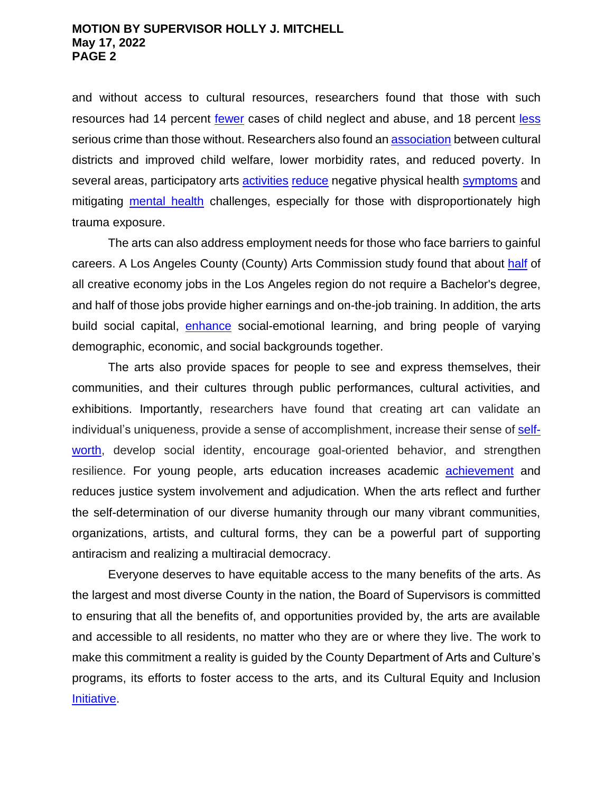#### **MOTION BY SUPERVISOR HOLLY J. MITCHELL May 17, 2022 PAGE 2**

and without access to cultural resources, researchers found that those with such resources had 14 percent [fewer](https://repository.upenn.edu/siap_culture_nyc/) cases of child neglect and abuse, and 18 percent [less](https://repository.upenn.edu/siap_culture_nyc/) serious crime than those without. Researchers also found a[n association](https://www.artsfund.org/social-impact-study-2018/) between cultural districts and improved child welfare, lower morbidity rates, and reduced poverty. In several areas, participatory arts [activities](https://pubmed.ncbi.nlm.nih.gov/29708025/) [reduce](https://actionnetwork.org/forms/download-art-well-being-toward-a-culture-of-health) negative physical health [symptoms](https://smartmove.co.in/wp-content/uploads/2020/04/The-efficacy-of-creative-arts-therapies-to-enhance-emotional-expression-spirituality-and-psychological-well-being-of-newly-diagnosed-Stage-I-and-Stage-II-breast-cancer-patients.pdf) and mitigating [mental health](https://www.emerald.com/insight/content/doi/10.1108/17465729200700024/full/html) challenges, especially for those with disproportionately high trauma exposure.

The arts can also address employment needs for those who face barriers to gainful careers. A Los Angeles County (County) Arts Commission study found that about [half](https://www.lacountyarts.org/sites/default/files/pdfs/lacac_creativereportb_final2.pdf) of all creative economy jobs in the Los Angeles region do not require a Bachelor's degree, and half of those jobs provide higher earnings and on-the-job training. In addition, the arts build social capital, [enhance](https://consortium.uchicago.edu/sites/default/files/2019-05/Arts%20Education%20and%20Social-Emotional-June2019-Consortium%20and%20Ingenuity.pdf) social-emotional learning, and bring people of varying demographic, economic, and social backgrounds together.

The arts also provide spaces for people to see and express themselves, their communities, and their cultures through public performances, cultural activities, and exhibitions. Importantly, researchers have found that creating art can validate an individual's uniqueness, provide a sense of accomplishment, increase their sense of [self](https://greatergood.berkeley.edu/article/item/why_the_arts_matter_for_kids_self_esteem)[worth,](https://greatergood.berkeley.edu/article/item/why_the_arts_matter_for_kids_self_esteem) develop social identity, encourage goal-oriented behavior, and strengthen resilience. For young people, arts education increases academic [achievement](https://www.arts.gov/sites/default/files/Arts-At-Risk-Youth.pdf) and reduces justice system involvement and adjudication. When the arts reflect and further the self-determination of our diverse humanity through our many vibrant communities, organizations, artists, and cultural forms, they can be a powerful part of supporting antiracism and realizing a multiracial democracy.

Everyone deserves to have equitable access to the many benefits of the arts. As the largest and most diverse County in the nation, the Board of Supervisors is committed to ensuring that all the benefits of, and opportunities provided by, the arts are available and accessible to all residents, no matter who they are or where they live. The work to make this commitment a reality is guided by the County Department of Arts and Culture's programs, its efforts to foster access to the arts, and its Cultural Equity and Inclusion [Initiative.](https://www.lacountyarts.org/about/cultural-equity-inclusion-initiative/cultural-equity-inclusion-initiative)